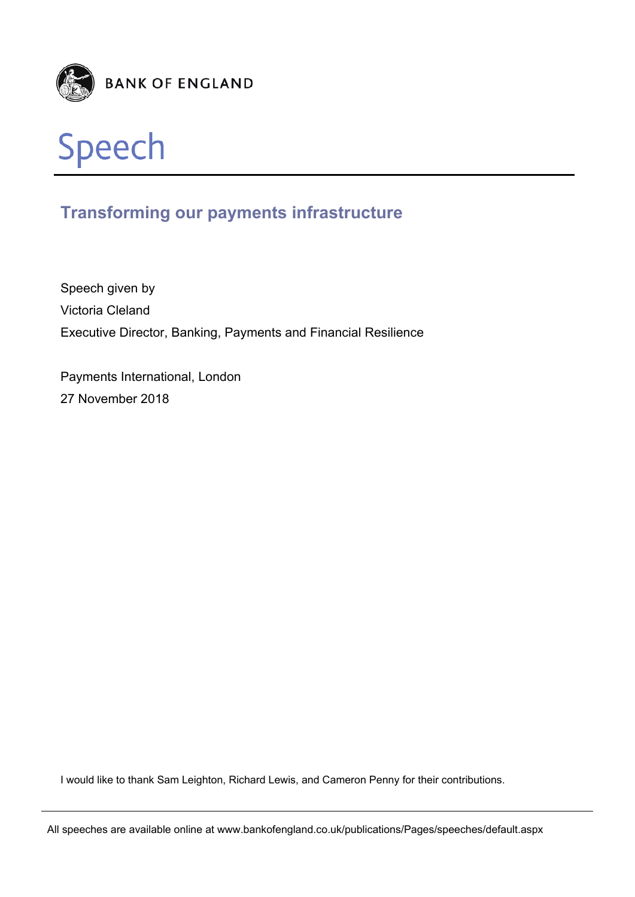



# **Transforming our payments infrastructure**

Speech given by Victoria Cleland Executive Director, Banking, Payments and Financial Resilience

Payments International, London 27 November 2018

I would like to thank Sam Leighton, Richard Lewis, and Cameron Penny for their contributions.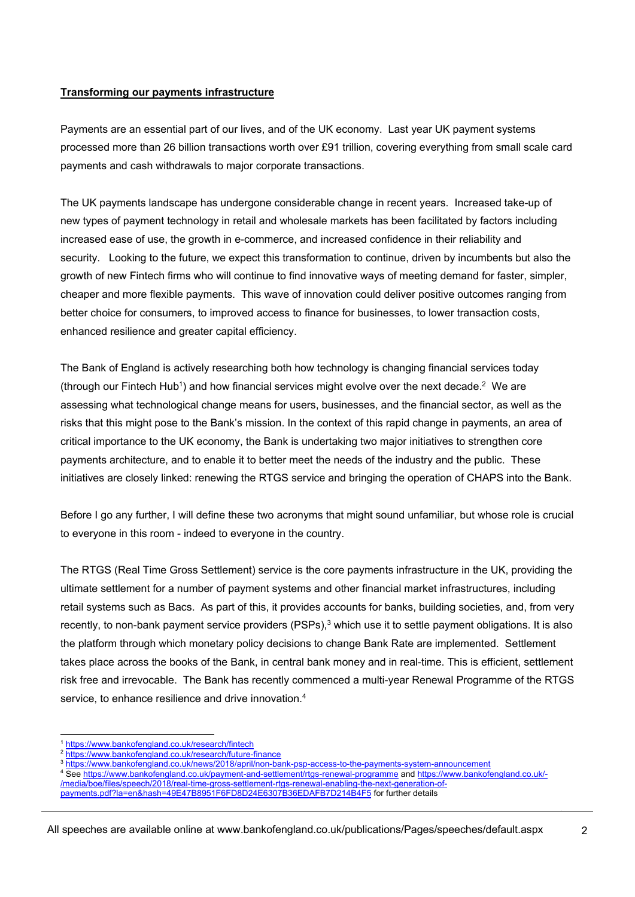## **Transforming our payments infrastructure**

Payments are an essential part of our lives, and of the UK economy. Last year UK payment systems processed more than 26 billion transactions worth over £91 trillion, covering everything from small scale card payments and cash withdrawals to major corporate transactions.

The UK payments landscape has undergone considerable change in recent years. Increased take-up of new types of payment technology in retail and wholesale markets has been facilitated by factors including increased ease of use, the growth in e-commerce, and increased confidence in their reliability and security. Looking to the future, we expect this transformation to continue, driven by incumbents but also the growth of new Fintech firms who will continue to find innovative ways of meeting demand for faster, simpler, cheaper and more flexible payments. This wave of innovation could deliver positive outcomes ranging from better choice for consumers, to improved access to finance for businesses, to lower transaction costs, enhanced resilience and greater capital efficiency.

The Bank of England is actively researching both how technology is changing financial services today (through our Fintech Hub<sup>1</sup>) and how financial services might evolve over the next decade.<sup>2</sup> We are assessing what technological change means for users, businesses, and the financial sector, as well as the risks that this might pose to the Bank's mission. In the context of this rapid change in payments, an area of critical importance to the UK economy, the Bank is undertaking two major initiatives to strengthen core payments architecture, and to enable it to better meet the needs of the industry and the public. These initiatives are closely linked: renewing the RTGS service and bringing the operation of CHAPS into the Bank.

Before I go any further, I will define these two acronyms that might sound unfamiliar, but whose role is crucial to everyone in this room - indeed to everyone in the country.

The RTGS (Real Time Gross Settlement) service is the core payments infrastructure in the UK, providing the ultimate settlement for a number of payment systems and other financial market infrastructures, including retail systems such as Bacs. As part of this, it provides accounts for banks, building societies, and, from very recently, to non-bank payment service providers (PSPs),<sup>3</sup> which use it to settle payment obligations. It is also the platform through which monetary policy decisions to change Bank Rate are implemented. Settlement takes place across the books of the Bank, in central bank money and in real-time. This is efficient, settlement risk free and irrevocable. The Bank has recently commenced a multi-year Renewal Programme of the RTGS service, to enhance resilience and drive innovation.<sup>4</sup>

l

<sup>&</sup>lt;sup>1</sup> https://www.bankofengland.co.uk/research/fintech<br><sup>2</sup> https://www.bankofengland.co.uk/research/future-finance<br><sup>3</sup> https://www.bankofengland.co.uk/news/2018/april/non-bank-psp-access-to-the-payments-system-announcement

See https://www.bankofengland.co.uk/payment-and-settlement/rtgs-renewal-programme and https://www.bankofengland.co.uk/- /media/boe/files/speech/2018/real-time-gross-settlement-rtgs-renewal-enabling-the-next-generation-ofpayments.pdf?la=en&hash=49E47B8951F6FD8D24E6307B36EDAFB7D214B4F5 for further details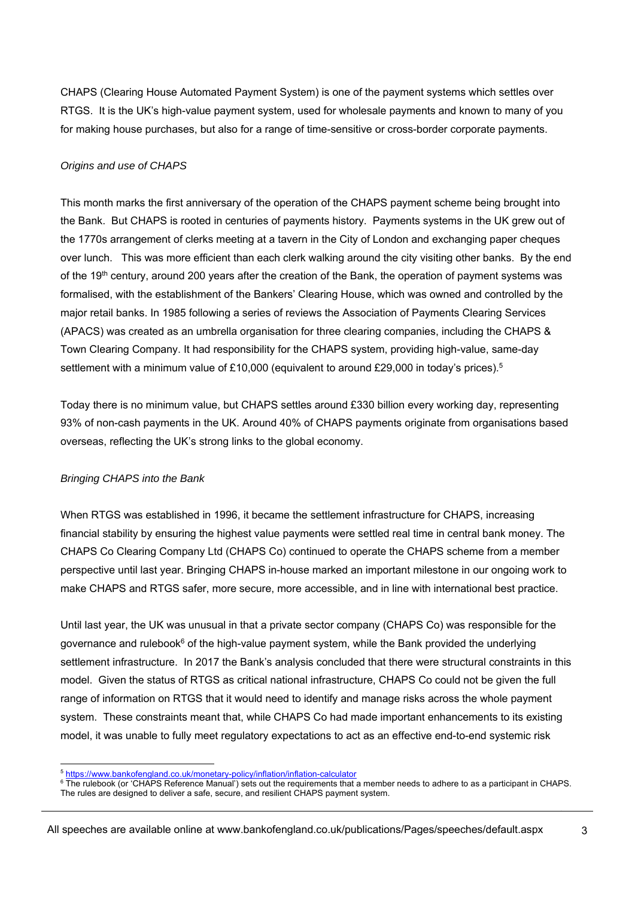CHAPS (Clearing House Automated Payment System) is one of the payment systems which settles over RTGS. It is the UK's high-value payment system, used for wholesale payments and known to many of you for making house purchases, but also for a range of time-sensitive or cross-border corporate payments.

### *Origins and use of CHAPS*

This month marks the first anniversary of the operation of the CHAPS payment scheme being brought into the Bank. But CHAPS is rooted in centuries of payments history. Payments systems in the UK grew out of the 1770s arrangement of clerks meeting at a tavern in the City of London and exchanging paper cheques over lunch. This was more efficient than each clerk walking around the city visiting other banks. By the end of the 19<sup>th</sup> century, around 200 years after the creation of the Bank, the operation of payment systems was formalised, with the establishment of the Bankers' Clearing House, which was owned and controlled by the major retail banks. In 1985 following a series of reviews the Association of Payments Clearing Services (APACS) was created as an umbrella organisation for three clearing companies, including the CHAPS & Town Clearing Company. It had responsibility for the CHAPS system, providing high-value, same-day settlement with a minimum value of £10,000 (equivalent to around £29,000 in today's prices).<sup>5</sup>

Today there is no minimum value, but CHAPS settles around £330 billion every working day, representing 93% of non-cash payments in the UK. Around 40% of CHAPS payments originate from organisations based overseas, reflecting the UK's strong links to the global economy.

### *Bringing CHAPS into the Bank*

When RTGS was established in 1996, it became the settlement infrastructure for CHAPS, increasing financial stability by ensuring the highest value payments were settled real time in central bank money. The CHAPS Co Clearing Company Ltd (CHAPS Co) continued to operate the CHAPS scheme from a member perspective until last year. Bringing CHAPS in-house marked an important milestone in our ongoing work to make CHAPS and RTGS safer, more secure, more accessible, and in line with international best practice.

Until last year, the UK was unusual in that a private sector company (CHAPS Co) was responsible for the governance and rulebook<sup>6</sup> of the high-value payment system, while the Bank provided the underlying settlement infrastructure. In 2017 the Bank's analysis concluded that there were structural constraints in this model. Given the status of RTGS as critical national infrastructure, CHAPS Co could not be given the full range of information on RTGS that it would need to identify and manage risks across the whole payment system. These constraints meant that, while CHAPS Co had made important enhancements to its existing model, it was unable to fully meet regulatory expectations to act as an effective end-to-end systemic risk

l <sup>5</sup> https://www.bankofengland.co.uk/monetary-policy/inflation/inflation-calculator 6

 $6$  The rulebook (or 'CHAPS Reference Manual') sets out the requirements that a member needs to adhere to as a participant in CHAPS. The rules are designed to deliver a safe, secure, and resilient CHAPS payment system.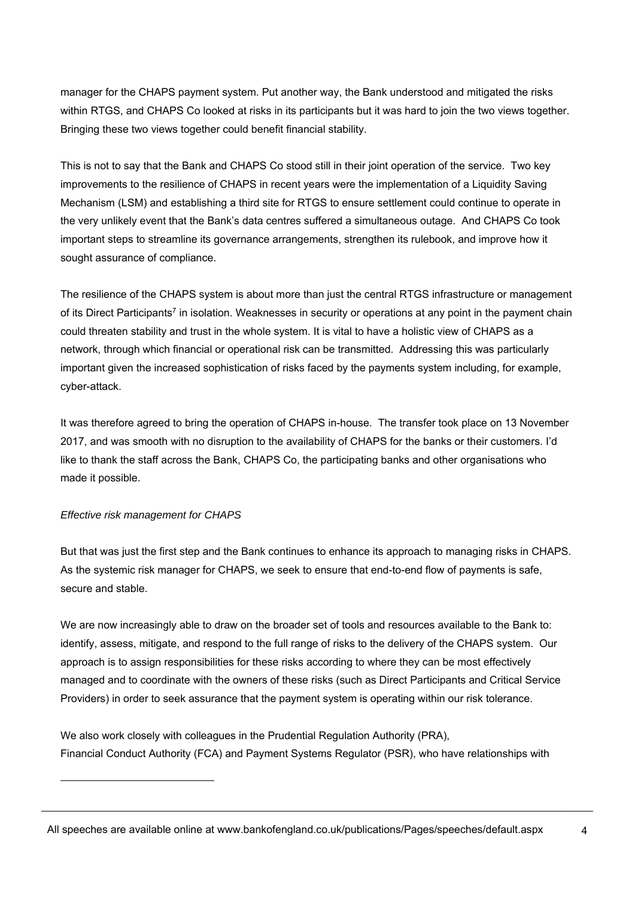manager for the CHAPS payment system. Put another way, the Bank understood and mitigated the risks within RTGS, and CHAPS Co looked at risks in its participants but it was hard to join the two views together. Bringing these two views together could benefit financial stability.

This is not to say that the Bank and CHAPS Co stood still in their joint operation of the service. Two key improvements to the resilience of CHAPS in recent years were the implementation of a Liquidity Saving Mechanism (LSM) and establishing a third site for RTGS to ensure settlement could continue to operate in the very unlikely event that the Bank's data centres suffered a simultaneous outage. And CHAPS Co took important steps to streamline its governance arrangements, strengthen its rulebook, and improve how it sought assurance of compliance.

The resilience of the CHAPS system is about more than just the central RTGS infrastructure or management of its Direct Participants<sup>7</sup> in isolation. Weaknesses in security or operations at any point in the payment chain could threaten stability and trust in the whole system. It is vital to have a holistic view of CHAPS as a network, through which financial or operational risk can be transmitted. Addressing this was particularly important given the increased sophistication of risks faced by the payments system including, for example, cyber-attack.

It was therefore agreed to bring the operation of CHAPS in-house. The transfer took place on 13 November 2017, and was smooth with no disruption to the availability of CHAPS for the banks or their customers. I'd like to thank the staff across the Bank, CHAPS Co, the participating banks and other organisations who made it possible.

### *Effective risk management for CHAPS*

l

But that was just the first step and the Bank continues to enhance its approach to managing risks in CHAPS. As the systemic risk manager for CHAPS, we seek to ensure that end-to-end flow of payments is safe, secure and stable.

We are now increasingly able to draw on the broader set of tools and resources available to the Bank to: identify, assess, mitigate, and respond to the full range of risks to the delivery of the CHAPS system. Our approach is to assign responsibilities for these risks according to where they can be most effectively managed and to coordinate with the owners of these risks (such as Direct Participants and Critical Service Providers) in order to seek assurance that the payment system is operating within our risk tolerance.

We also work closely with colleagues in the Prudential Regulation Authority (PRA), Financial Conduct Authority (FCA) and Payment Systems Regulator (PSR), who have relationships with

All speeches are available online at www.bankofengland.co.uk/publications/Pages/speeches/default.aspx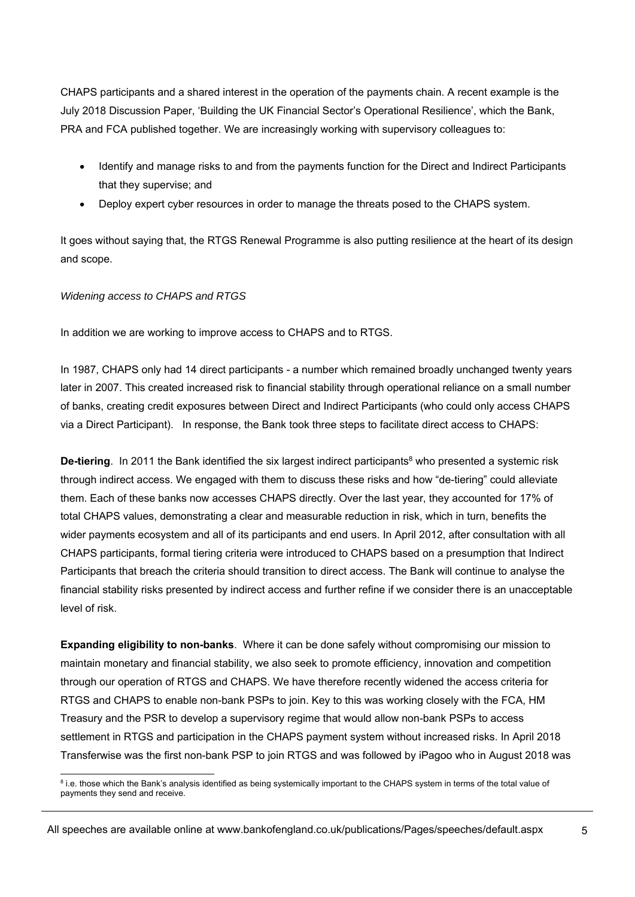CHAPS participants and a shared interest in the operation of the payments chain. A recent example is the July 2018 Discussion Paper, 'Building the UK Financial Sector's Operational Resilience', which the Bank, PRA and FCA published together. We are increasingly working with supervisory colleagues to:

- Identify and manage risks to and from the payments function for the Direct and Indirect Participants that they supervise; and
- Deploy expert cyber resources in order to manage the threats posed to the CHAPS system.

It goes without saying that, the RTGS Renewal Programme is also putting resilience at the heart of its design and scope.

### *Widening access to CHAPS and RTGS*

In addition we are working to improve access to CHAPS and to RTGS.

In 1987, CHAPS only had 14 direct participants - a number which remained broadly unchanged twenty years later in 2007. This created increased risk to financial stability through operational reliance on a small number of banks, creating credit exposures between Direct and Indirect Participants (who could only access CHAPS via a Direct Participant). In response, the Bank took three steps to facilitate direct access to CHAPS:

**De-tiering.** In 2011 the Bank identified the six largest indirect participants<sup>8</sup> who presented a systemic risk through indirect access. We engaged with them to discuss these risks and how "de-tiering" could alleviate them. Each of these banks now accesses CHAPS directly. Over the last year, they accounted for 17% of total CHAPS values, demonstrating a clear and measurable reduction in risk, which in turn, benefits the wider payments ecosystem and all of its participants and end users. In April 2012, after consultation with all CHAPS participants, formal tiering criteria were introduced to CHAPS based on a presumption that Indirect Participants that breach the criteria should transition to direct access. The Bank will continue to analyse the financial stability risks presented by indirect access and further refine if we consider there is an unacceptable level of risk.

**Expanding eligibility to non-banks**. Where it can be done safely without compromising our mission to maintain monetary and financial stability, we also seek to promote efficiency, innovation and competition through our operation of RTGS and CHAPS. We have therefore recently widened the access criteria for RTGS and CHAPS to enable non-bank PSPs to join. Key to this was working closely with the FCA, HM Treasury and the PSR to develop a supervisory regime that would allow non-bank PSPs to access settlement in RTGS and participation in the CHAPS payment system without increased risks. In April 2018 Transferwise was the first non-bank PSP to join RTGS and was followed by iPagoo who in August 2018 was

 8 i.e. those which the Bank's analysis identified as being systemically important to the CHAPS system in terms of the total value of payments they send and receive.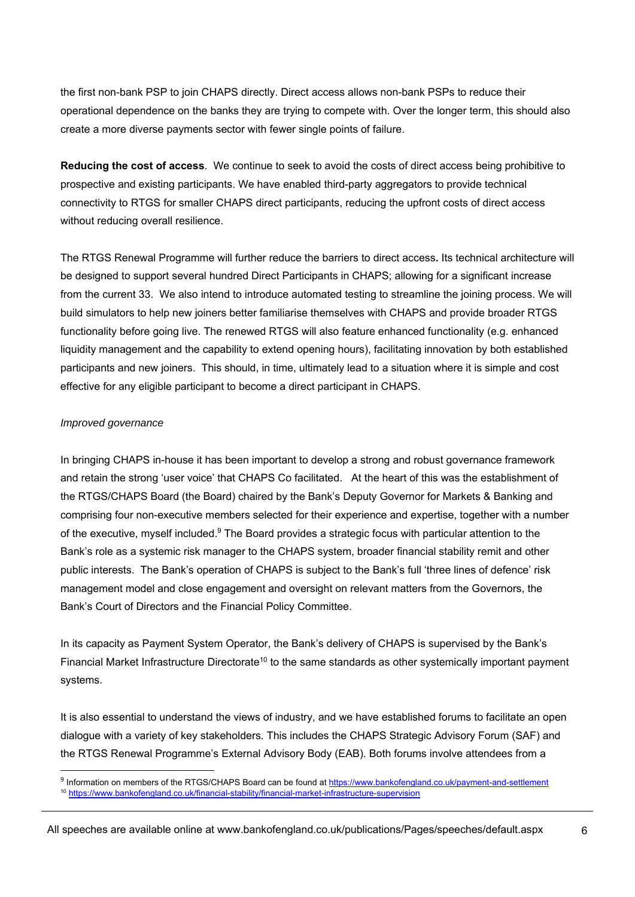the first non-bank PSP to join CHAPS directly. Direct access allows non-bank PSPs to reduce their operational dependence on the banks they are trying to compete with. Over the longer term, this should also create a more diverse payments sector with fewer single points of failure.

**Reducing the cost of access**. We continue to seek to avoid the costs of direct access being prohibitive to prospective and existing participants. We have enabled third-party aggregators to provide technical connectivity to RTGS for smaller CHAPS direct participants, reducing the upfront costs of direct access without reducing overall resilience.

The RTGS Renewal Programme will further reduce the barriers to direct access**.** Its technical architecture will be designed to support several hundred Direct Participants in CHAPS; allowing for a significant increase from the current 33. We also intend to introduce automated testing to streamline the joining process. We will build simulators to help new joiners better familiarise themselves with CHAPS and provide broader RTGS functionality before going live. The renewed RTGS will also feature enhanced functionality (e.g. enhanced liquidity management and the capability to extend opening hours), facilitating innovation by both established participants and new joiners. This should, in time, ultimately lead to a situation where it is simple and cost effective for any eligible participant to become a direct participant in CHAPS.

### *Improved governance*

l

In bringing CHAPS in-house it has been important to develop a strong and robust governance framework and retain the strong 'user voice' that CHAPS Co facilitated. At the heart of this was the establishment of the RTGS/CHAPS Board (the Board) chaired by the Bank's Deputy Governor for Markets & Banking and comprising four non-executive members selected for their experience and expertise, together with a number of the executive, myself included.9 The Board provides a strategic focus with particular attention to the Bank's role as a systemic risk manager to the CHAPS system, broader financial stability remit and other public interests. The Bank's operation of CHAPS is subject to the Bank's full 'three lines of defence' risk management model and close engagement and oversight on relevant matters from the Governors, the Bank's Court of Directors and the Financial Policy Committee.

In its capacity as Payment System Operator, the Bank's delivery of CHAPS is supervised by the Bank's Financial Market Infrastructure Directorate<sup>10</sup> to the same standards as other systemically important payment systems.

It is also essential to understand the views of industry, and we have established forums to facilitate an open dialogue with a variety of key stakeholders. This includes the CHAPS Strategic Advisory Forum (SAF) and the RTGS Renewal Programme's External Advisory Body (EAB). Both forums involve attendees from a

<sup>9</sup> Information on members of the RTGS/CHAPS Board can be found at https://www.bankofengland.co.uk/payment-and-settlement  $10$  https://www.bankofengland.co.uk/financial-stability/financial-market-infrastructure-supervision